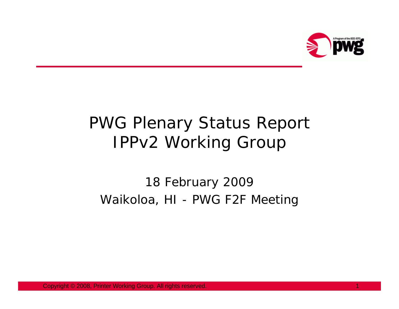

# PWG Plenary Status Report IPPv2 Working Group

#### 18 February 2009 Waikoloa, HI - PWG F2F Meeting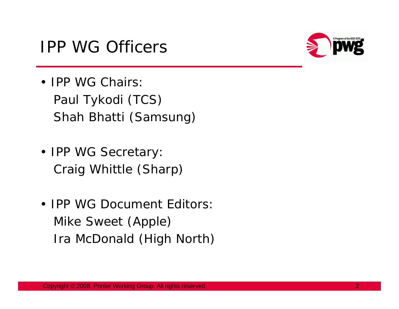#### IPP WG Officers



- IPP WG Chairs: Paul Tykodi (TCS) Shah Bhatti (Samsung)
- IPP WG Secretary: Craig Whittle (Sharp)
- IPP WG Document Editors:Mike Sweet (Apple) Ira McDonald (High North)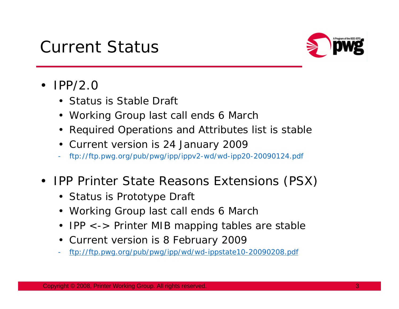### Current Status



- $\bullet$  IPP/2.0
	- Status is Stable Draft
	- Working Group last call ends 6 March
	- Required Operations and Attributes list is stable
	- Current version is 24 January 2009
	- ftp://ftp.pwg.org/pub/pwg/ipp/ippv2-wd/wd-ipp20-20090124.pdf
- $\bullet$  IPP Printer State Reasons Extensions (PSX)
	- Status is Prototype Draft
	- Working Group last call ends 6 March
	- IPP <-> Printer MIB mapping tables are stable
	- Current version is 8 February 2009
	- ftp://ftp.pwg.org/pub/pwg/ipp/wd/wd-ippstate10-20090208.pdf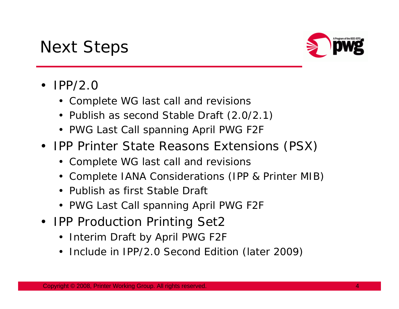## Next Steps



- IPP/2.0
	- Complete WG last call and revisions
	- Publish as second Stable Draft (2.0/2.1)
	- PWG Last Call spanning April PWG F2F
- IPP Printer State Reasons Extensions (PSX)
	- Complete WG last call and revisions
	- Complete IANA Considerations (IPP & Printer MIB)
	- Publish as first Stable Draft
	- PWG Last Call spanning April PWG F2F
- IPP Production Printing Set2
	- Interim Draft by April PWG F2F
	- Include in IPP/2.0 Second Edition (later 2009)